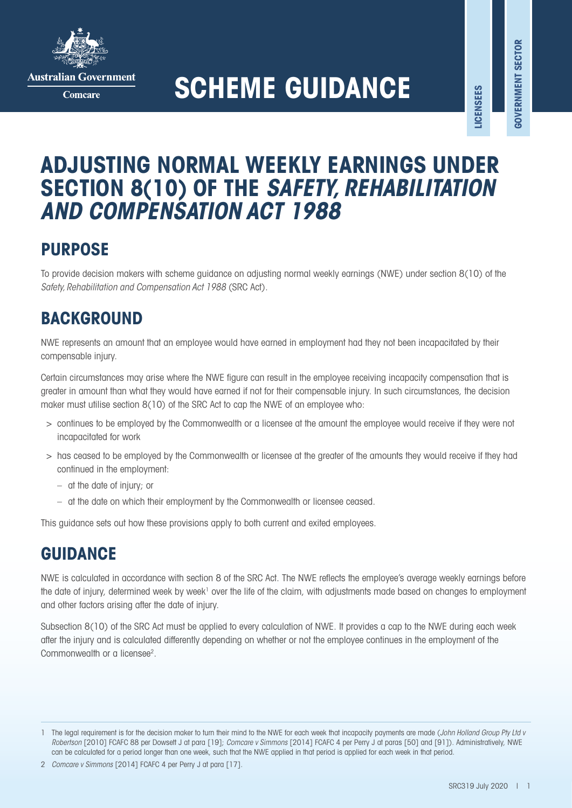

**Australian Government** 

Comcare

# **SCHEME GUIDANCE**

**LICENSEES**

**.ICENSEES** 

## **ADJUSTING NORMAL WEEKLY EARNINGS UNDER SECTION 8(10) OF THE** *SAFETY, REHABILITATION AND COMPENSATION ACT 1988*

## **PURPOSE**

To provide decision makers with scheme guidance on adjusting normal weekly earnings (NWE) under section 8(10) of the *Safety, Rehabilitation and Compensation Act 1988* (SRC Act).

## **BACKGROUND**

NWE represents an amount that an employee would have earned in employment had they not been incapacitated by their compensable injury.

Certain circumstances may arise where the NWE figure can result in the employee receiving incapacity compensation that is greater in amount than what they would have earned if not for their compensable injury. In such circumstances, the decision maker must utilise section 8(10) of the SRC Act to cap the NWE of an employee who:

- > continues to be employed by the Commonwealth or a licensee at the amount the employee would receive if they were not incapacitated for work
- > has ceased to be employed by the Commonwealth or licensee at the greater of the amounts they would receive if they had continued in the employment:
	- at the date of injury; or
	- at the date on which their employment by the Commonwealth or licensee ceased.

This guidance sets out how these provisions apply to both current and exited employees.

## **GUIDANCE**

NWE is calculated in accordance with section 8 of the SRC Act. The NWE reflects the employee's average weekly earnings before the date of injury, determined week by week<sup>1</sup> over the life of the claim, with adjustments made based on changes to employment and other factors arising after the date of injury.

Subsection 8(10) of the SRC Act must be applied to every calculation of NWE. It provides a cap to the NWE during each week after the injury and is calculated differently depending on whether or not the employee continues in the employment of the Commonwealth or a licensee<sup>2</sup>.

<sup>1</sup> The legal requirement is for the decision maker to turn their mind to the NWE for each week that incapacity payments are made (*John Holland Group Pty Ltd v Robertson* [2010] FCAFC 88 per Dowsett J at para [19]; *Comcare v Simmons* [2014] FCAFC 4 per Perry J at paras [50] and [91]). Administratively, NWE can be calculated for a period longer than one week, such that the NWE applied in that period is applied for each week in that period.

<sup>2</sup> *Comcare v Simmons* [2014] FCAFC 4 per Perry J at para [17].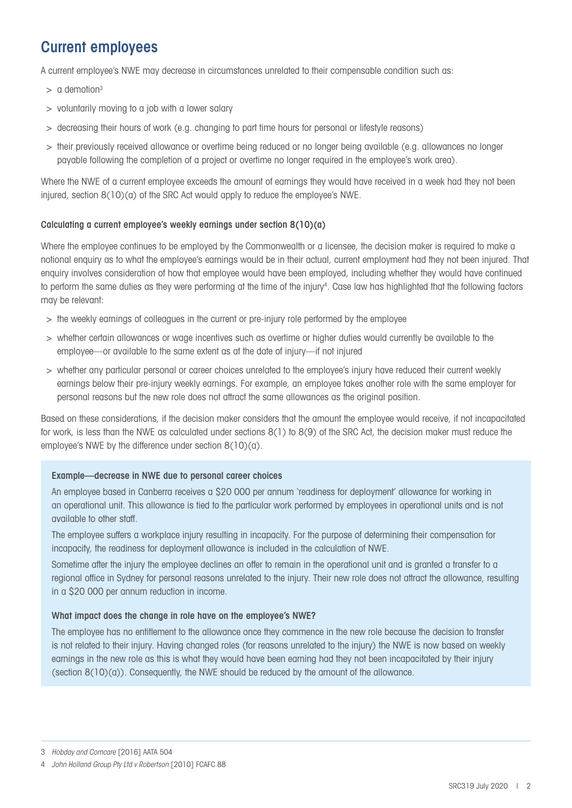## Current employees

A current employee's NWE may decrease in circumstances unrelated to their compensable condition such as:

- $>$  a demotion<sup>3</sup>
- > voluntarily moving to a job with a lower salary
- > decreasing their hours of work (e.g. changing to part time hours for personal or lifestyle reasons)
- > their previously received allowance or overtime being reduced or no longer being available (e.g. allowances no longer payable following the completion of a project or overtime no longer required in the employee's work area).

Where the NWE of a current employee exceeds the amount of earnings they would have received in a week had they not been injured, section 8(10)(a) of the SRC Act would apply to reduce the employee's NWE.

## Calculating a current employee's weekly earnings under section 8(10)(a)

Where the employee continues to be employed by the Commonwealth or a licensee, the decision maker is required to make a notional enquiry as to what the employee's earnings would be in their actual, current employment had they not been injured. That enquiry involves consideration of how that employee would have been employed, including whether they would have continued to perform the same duties as they were performing at the time of the injury<sup>4</sup>. Case law has highlighted that the following factors may be relevant:

- > the weekly earnings of colleagues in the current or pre-injury role performed by the employee
- > whether certain allowances or wage incentives such as overtime or higher duties would currently be available to the employee—or available to the same extent as at the date of injury—if not injured
- > whether any particular personal or career choices unrelated to the employee's injury have reduced their current weekly earnings below their pre-injury weekly earnings. For example, an employee takes another role with the same employer for personal reasons but the new role does not attract the same allowances as the original position.

Based on these considerations, if the decision maker considers that the amount the employee would receive, if not incapacitated for work, is less than the NWE as calculated under sections 8(1) to 8(9) of the SRC Act, the decision maker must reduce the employee's NWE by the difference under section 8(10)(a).

## Example—decrease in NWE due to personal career choices

An employee based in Canberra receives a \$20 000 per annum 'readiness for deployment' allowance for working in an operational unit. This allowance is tied to the particular work performed by employees in operational units and is not available to other staff.

The employee suffers a workplace injury resulting in incapacity. For the purpose of determining their compensation for incapacity, the readiness for deployment allowance is included in the calculation of NWE.

Sometime after the injury the employee declines an offer to remain in the operational unit and is granted a transfer to a regional office in Sydney for personal reasons unrelated to the injury. Their new role does not attract the allowance, resulting in a \$20 000 per annum reduction in income.

## What impact does the change in role have on the employee's NWE?

The employee has no entitlement to the allowance once they commence in the new role because the decision to transfer is not related to their injury. Having changed roles (for reasons unrelated to the injury) the NWE is now based on weekly earnings in the new role as this is what they would have been earning had they not been incapacitated by their injury (section  $8(10)(a)$ ). Consequently, the NWE should be reduced by the amount of the allowance.

<sup>3</sup> *Hobday and Comcare* [2016] AATA 504

<sup>4</sup> *John Holland Group Pty Ltd v Robertson* [2010] FCAFC 88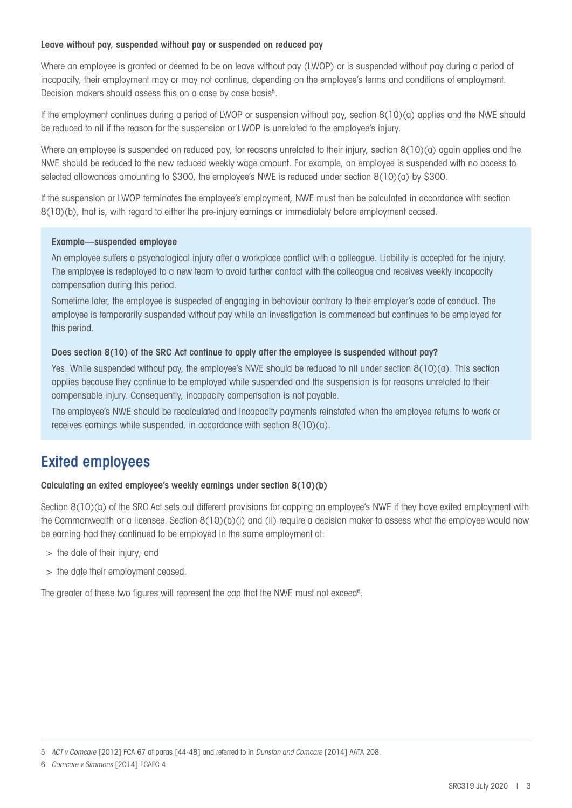## Leave without pay, suspended without pay or suspended on reduced pay

Where an employee is granted or deemed to be on leave without pay (LWOP) or is suspended without pay during a period of incapacity, their employment may or may not continue, depending on the employee's terms and conditions of employment. Decision makers should assess this on a case by case basis<sup>5</sup>.

If the employment continues during a period of LWOP or suspension without pay, section 8(10)(a) applies and the NWE should be reduced to nil if the reason for the suspension or LWOP is unrelated to the employee's injury.

Where an employee is suspended on reduced pay, for reasons unrelated to their injury, section 8(10)(a) again applies and the NWE should be reduced to the new reduced weekly wage amount. For example, an employee is suspended with no access to selected allowances amounting to \$300, the employee's NWE is reduced under section 8(10)(a) by \$300.

If the suspension or LWOP terminates the employee's employment, NWE must then be calculated in accordance with section 8(10)(b), that is, with regard to either the pre-injury earnings or immediately before employment ceased.

### Example—suspended employee

An employee suffers a psychological injury after a workplace conflict with a colleague. Liability is accepted for the injury. The employee is redeployed to a new team to avoid further contact with the colleague and receives weekly incapacity compensation during this period.

Sometime later, the employee is suspected of engaging in behaviour contrary to their employer's code of conduct. The employee is temporarily suspended without pay while an investigation is commenced but continues to be employed for this period.

### Does section 8(10) of the SRC Act continue to apply after the employee is suspended without pay?

Yes. While suspended without pay, the employee's NWE should be reduced to nil under section 8(10)(a). This section applies because they continue to be employed while suspended and the suspension is for reasons unrelated to their compensable injury. Consequently, incapacity compensation is not payable.

The employee's NWE should be recalculated and incapacity payments reinstated when the employee returns to work or receives earnings while suspended, in accordance with section 8(10)(a).

## Exited employees

### Calculating an exited employee's weekly earnings under section 8(10)(b)

Section 8(10)(b) of the SRC Act sets out different provisions for capping an employee's NWE if they have exited employment with the Commonwealth or a licensee. Section 8(10)(b)(i) and (ii) require a decision maker to assess what the employee would now be earning had they continued to be employed in the same employment at:

- > the date of their injury; and
- > the date their employment ceased.

The greater of these two figures will represent the cap that the NWE must not exceed<sup>6</sup>.

6 *Comcare v Simmons* [2014] FCAFC 4

<sup>5</sup> *ACT v Comcare* [2012] FCA 67 at paras [44-48] and referred to in *Dunstan and Comcare* [2014] AATA 208.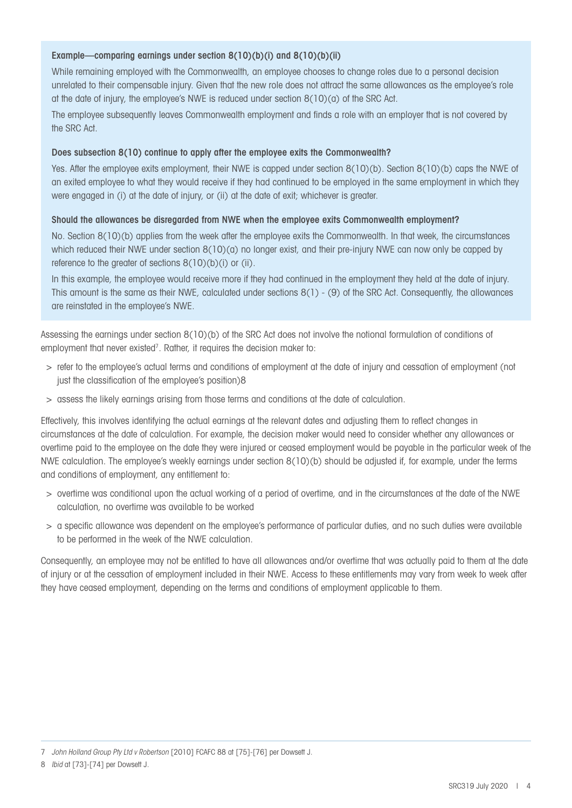## Example—comparing earnings under section 8(10)(b)(i) and 8(10)(b)(ii)

While remaining employed with the Commonwealth, an employee chooses to change roles due to a personal decision unrelated to their compensable injury. Given that the new role does not attract the same allowances as the employee's role at the date of injury, the employee's NWE is reduced under section 8(10)(a) of the SRC Act.

The employee subsequently leaves Commonwealth employment and finds a role with an employer that is not covered by the SRC Act.

### Does subsection 8(10) continue to apply after the employee exits the Commonwealth?

Yes. After the employee exits employment, their NWE is capped under section 8(10)(b). Section 8(10)(b) caps the NWE of an exited employee to what they would receive if they had continued to be employed in the same employment in which they were engaged in (i) at the date of injury, or (ii) at the date of exit; whichever is greater.

### Should the allowances be disregarded from NWE when the employee exits Commonwealth employment?

No. Section 8(10)(b) applies from the week after the employee exits the Commonwealth. In that week, the circumstances which reduced their NWE under section  $8(10)(a)$  no longer exist, and their pre-injury NWE can now only be capped by reference to the greater of sections  $8(10)(b)(i)$  or (ii).

In this example, the employee would receive more if they had continued in the employment they held at the date of injury. This amount is the same as their NWE, calculated under sections 8(1) - (9) of the SRC Act. Consequently, the allowances are reinstated in the employee's NWE.

Assessing the earnings under section 8(10)(b) of the SRC Act does not involve the notional formulation of conditions of employment that never existed<sup>7</sup>. Rather, it requires the decision maker to:

- > refer to the employee's actual terms and conditions of employment at the date of injury and cessation of employment (not just the classification of the employee's position)8
- > assess the likely earnings arising from those terms and conditions at the date of calculation.

Effectively, this involves identifying the actual earnings at the relevant dates and adjusting them to reflect changes in circumstances at the date of calculation. For example, the decision maker would need to consider whether any allowances or overtime paid to the employee on the date they were injured or ceased employment would be payable in the particular week of the NWE calculation. The employee's weekly earnings under section 8(10)(b) should be adjusted if, for example, under the terms and conditions of employment, any entitlement to:

- > overtime was conditional upon the actual working of a period of overtime, and in the circumstances at the date of the NWE calculation, no overtime was available to be worked
- > a specific allowance was dependent on the employee's performance of particular duties, and no such duties were available to be performed in the week of the NWE calculation.

Consequently, an employee may not be entitled to have all allowances and/or overtime that was actually paid to them at the date of injury or at the cessation of employment included in their NWE. Access to these entitlements may vary from week to week after they have ceased employment, depending on the terms and conditions of employment applicable to them.

<sup>7</sup> *John Holland Group Pty Ltd v Robertson* [2010] FCAFC 88 at [75]-[76] per Dowsett J.

<sup>8</sup> *Ibid* at [73]-[74] per Dowsett J.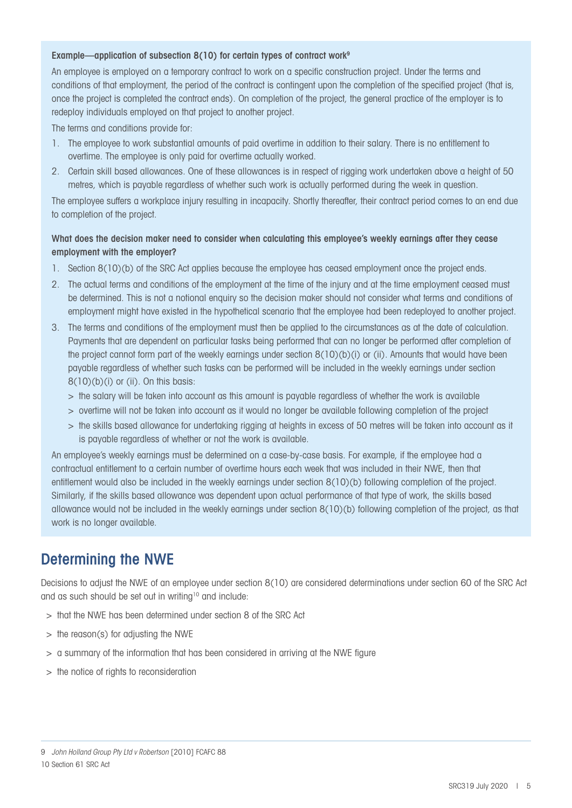### Example—application of subsection 8(10) for certain types of contract work<sup>9</sup>

An employee is employed on a temporary contract to work on a specific construction project. Under the terms and conditions of that employment, the period of the contract is contingent upon the completion of the specified project (that is, once the project is completed the contract ends). On completion of the project, the general practice of the employer is to redeploy individuals employed on that project to another project.

The terms and conditions provide for:

- 1. The employee to work substantial amounts of paid overtime in addition to their salary. There is no entitlement to overtime. The employee is only paid for overtime actually worked.
- 2. Certain skill based allowances. One of these allowances is in respect of rigging work undertaken above a height of 50 metres, which is payable regardless of whether such work is actually performed during the week in question.

The employee suffers a workplace injury resulting in incapacity. Shortly thereafter, their contract period comes to an end due to completion of the project.

## What does the decision maker need to consider when calculating this employee's weekly earnings after they cease employment with the employer?

- 1. Section 8(10)(b) of the SRC Act applies because the employee has ceased employment once the project ends.
- 2. The actual terms and conditions of the employment at the time of the injury and at the time employment ceased must be determined. This is not a notional enquiry so the decision maker should not consider what terms and conditions of employment might have existed in the hypothetical scenario that the employee had been redeployed to another project.
- 3. The terms and conditions of the employment must then be applied to the circumstances as at the date of calculation. Payments that are dependent on particular tasks being performed that can no longer be performed after completion of the project cannot form part of the weekly earnings under section 8(10)(b)(i) or (ii). Amounts that would have been payable regardless of whether such tasks can be performed will be included in the weekly earnings under section  $8(10)(b)(i)$  or (ii). On this basis:
	- > the salary will be taken into account as this amount is payable regardless of whether the work is available
	- > overtime will not be taken into account as it would no longer be available following completion of the project
	- > the skills based allowance for undertaking rigging at heights in excess of 50 metres will be taken into account as it is payable regardless of whether or not the work is available.

An employee's weekly earnings must be determined on a case-by-case basis. For example, if the employee had a contractual entitlement to a certain number of overtime hours each week that was included in their NWE, then that entitlement would also be included in the weekly earnings under section 8(10)(b) following completion of the project. Similarly, if the skills based allowance was dependent upon actual performance of that type of work, the skills based allowance would not be included in the weekly earnings under section 8(10)(b) following completion of the project, as that work is no longer available.

## Determining the NWE

Decisions to adjust the NWE of an employee under section 8(10) are considered determinations under section 60 of the SRC Act and as such should be set out in writing<sup>10</sup> and include:

- > that the NWE has been determined under section 8 of the SRC Act
- > the reason(s) for adjusting the NWE
- > a summary of the information that has been considered in arriving at the NWE figure
- > the notice of rights to reconsideration

#### 10 Section 61 SRC Act

<sup>9</sup> *John Holland Group Pty Ltd v Robertson* [2010] FCAFC 88